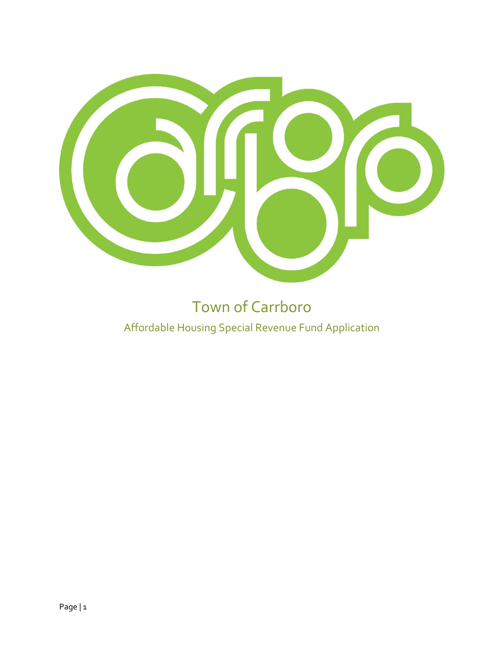

# Town of Carrboro Affordable Housing Special Revenue Fund Application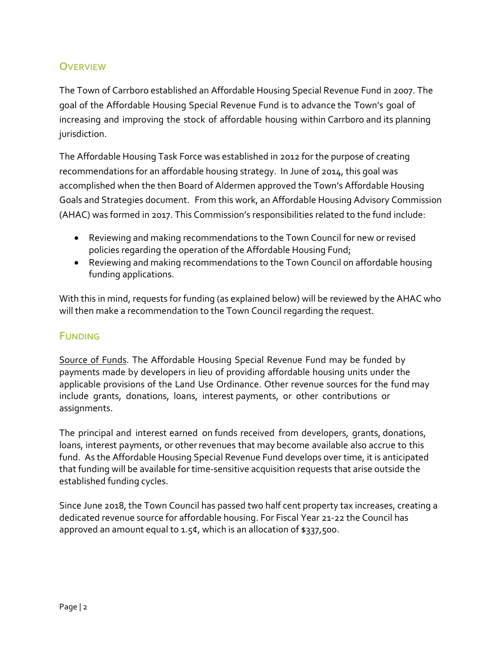# **OVERVIEW**

The Town of Carrboro established an Affordable Housing Special Revenue Fund in 2007. The goal of the Affordable Housing Special Revenue Fund is to advance the Town's goal of increasing and improving the stock of affordable housing within Carrboro and its planning jurisdiction.

 Goals and Strategies document. From this work, an Affordable Housing Advisory Commission The Affordable Housing Task Force was established in 2012 for the purpose of creating recommendations for an affordable housing strategy. In June of 2014, this goal was accomplished when the then Board of Aldermen approved the Town's Affordable Housing (AHAC) was formed in 2017. This Commission's responsibilities related to the fund include:

- Reviewing and making recommendations to the Town Council for new or revised policies regarding the operation of the Affordable Housing Fund;
- Reviewing and making recommendations to the Town Council on affordable housing funding applications.

With this in mind, requests for funding (as explained below) will be reviewed by the AHAC who will then make a recommendation to the Town Council regarding the request.

# **FUNDING**

Source of Funds. The Affordable Housing Special Revenue Fund may be funded by payments made by developers in lieu of providing affordable housing units under the applicable provisions of the Land Use Ordinance. Other revenue sources for the fund may include grants, donations, loans, interest payments, or other contributions or assignments.

 fund. As the Affordable Housing Special Revenue Fund develops over time, it is anticipated The principal and interest earned on funds received from developers, grants, donations, loans, interest payments, or other revenues that may become available also accrue to this that funding will be available for time-sensitive acquisition requests that arise outside the established funding cycles.

Since June 2018, the Town Council has passed two half cent property tax increases, creating a dedicated revenue source for affordable housing. For Fiscal Year 21-22 the Council has approved an amount equal to 1.5¢, which is an allocation of \$337,500.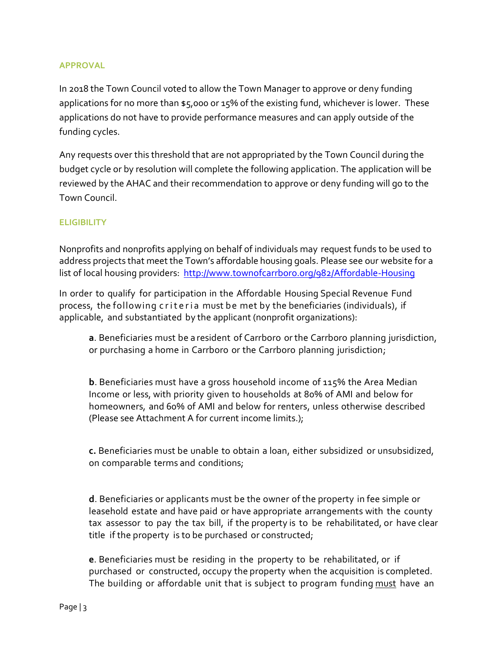# **APPROVAL**

In 2018 the Town Council voted to allow the Town Manager to approve or deny funding applications for no more than \$5,000 or 15% of the existing fund, whichever is lower. These applications do not have to provide performance measures and can apply outside of the funding cycles.

Any requests over this threshold that are not appropriated by the Town Council during the budget cycle or by resolution will complete the following application. The application will be reviewed by the AHAC and their recommendation to approve or deny funding will go to the Town Council.

# **ELIGIBILITY**

Nonprofits and nonprofits applying on behalf of individuals may request funds to be used to address projects that meet the Town's affordable housing goals. Please see our website for a list of local housing providers: <http://www.townofcarrboro.org/982/Affordable-Housing>

In order to qualify for participation in the Affordable Housing Special Revenue Fund process, the following criteria must be met by the beneficiaries (individuals), if applicable, and substantiated by the applicant (nonprofit organizations):

**a**. Beneficiaries must be a resident of Carrboro or the Carrboro planning jurisdiction, or purchasing a home in Carrboro or the Carrboro planning jurisdiction;

**b**. Beneficiaries must have a gross household income of 115% the Area Median Income or less, with priority given to households at 80% of AMI and below for homeowners, and 60% of AMI and below for renters, unless otherwise described (Please see Attachment A for current income limits.);

**c.** Beneficiaries must be unable to obtain a loan, either subsidized or unsubsidized, on comparable terms and conditions;

**d**. Beneficiaries or applicants must be the owner of the property in fee simple or leasehold estate and have paid or have appropriate arrangements with the county tax assessor to pay the tax bill, if the property is to be rehabilitated, or have clear title if the property is to be purchased or constructed;

**e**. Beneficiaries must be residing in the property to be rehabilitated, or if purchased or constructed, occupy the property when the acquisition is completed. The building or affordable unit that is subject to program funding must have an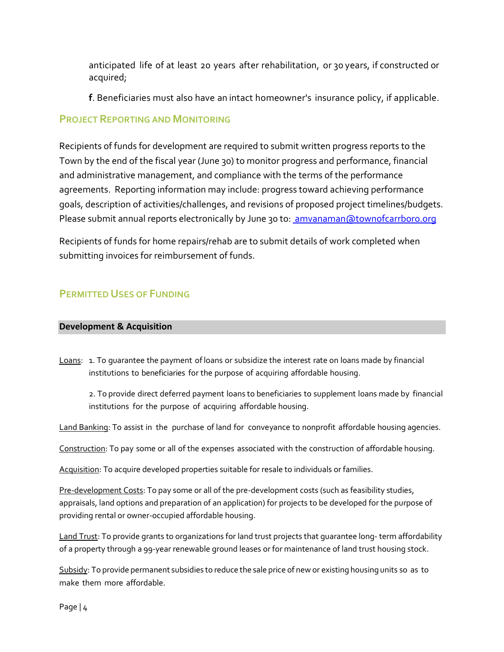anticipated life of at least 20 years after rehabilitation, or 30 years, if constructed or acquired;

**f**. Beneficiaries must also have an intact homeowner's insurance policy, if applicable.

# **PROJECT REPORTING AND MONITORING**

Recipients of funds for development are required to submit written progress reports to the Town by the end of the fiscal year (June 30) to monitor progress and performance, financial and administrative management, and compliance with the terms of the performance agreements. Reporting information may include: progress toward achieving performance goals, description of activities/challenges, and revisions of proposed project timelines/budgets. Please submit annual reports electronically by June 30 to: amvanaman@townofcarrboro.org

Recipients of funds for home repairs/rehab are to submit details of work completed when submitting invoices for reimbursement of funds.

# **PERMITTED USES OF FUNDING**

# **Development & Acquisition**

Loans: 1. To quarantee the payment of loans or subsidize the interest rate on loans made by financial institutions to beneficiaries for the purpose of acquiring affordable housing.

2. To provide direct deferred payment loans to beneficiaries to supplement loans made by financial institutions for the purpose of acquiring affordable housing.

Land Banking: To assist in the purchase of land for conveyance to nonprofit affordable housing agencies.

Construction: To pay some or all of the expenses associated with the construction of affordable housing.

Acquisition: To acquire developed properties suitable for resale to individuals or families.

Pre-development Costs: To pay some or all of the pre-development costs (such as feasibility studies, appraisals, land options and preparation of an application) for projects to be developed for the purpose of providing rental or owner-occupied affordable housing.

Land Trust: To provide grants to organizations for land trust projects that guarantee long- term affordability of a property through a 99-year renewable ground leases or for maintenance of land trust housing stock.

Subsidy: To provide permanent subsidies to reduce the sale price of new or existing housing units so as to make them more affordable.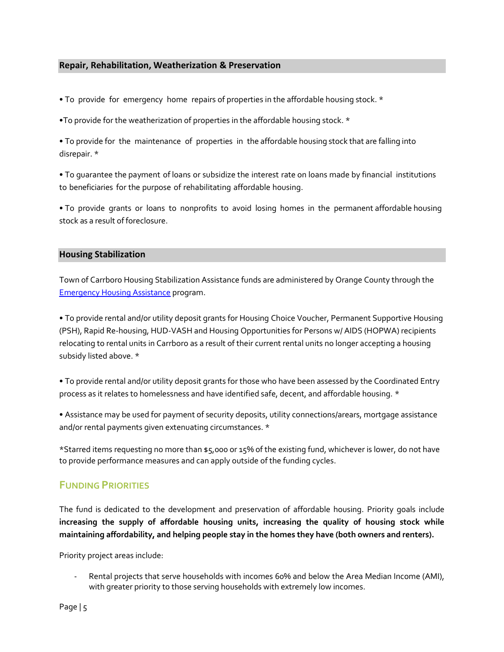### **Repair, Rehabilitation, Weatherization & Preservation**

- To provide for emergency home repairs of properties in the affordable housing stock. \*
- •To provide for the weatherization of properties in the affordable housing stock. \*

• To provide for the maintenance of properties in the affordable housing stock that are falling into disrepair. \*

• To guarantee the payment of loans or subsidize the interest rate on loans made by financial institutions to beneficiaries for the purpose of rehabilitating affordable housing.

• To provide grants or loans to nonprofits to avoid losing homes in the permanent affordable housing stock as a result of foreclosure.

## **Housing Stabilization**

Town of Carrboro Housing Stabilization Assistance funds are administered by Orange County through the [Emergency Housing Assistance](http://orangecountync.gov/2359/Emergency-Housing-Assistance) program.

• To provide rental and/or utility deposit grants for Housing Choice Voucher, Permanent Supportive Housing (PSH), Rapid Re-housing, HUD-VASH and Housing Opportunities for Persons w/ AIDS (HOPWA) recipients relocating to rental units in Carrboro as a result of their current rental units no longer accepting a housing subsidy listed above. \*

• To provide rental and/or utility deposit grants for those who have been assessed by the Coordinated Entry process as it relates to homelessness and have identified safe, decent, and affordable housing. \*

• Assistance may be used for payment of security deposits, utility connections/arears, mortgage assistance and/or rental payments given extenuating circumstances. \*

\*Starred items requesting no more than \$5,000 or 15% of the existing fund, whichever is lower, do not have to provide performance measures and can apply outside of the funding cycles.

# **FUNDING PRIORITIES**

The fund is dedicated to the development and preservation of affordable housing. Priority goals include **increasing the supply of affordable housing units, increasing the quality of housing stock while maintaining affordability, and helping people stay in the homes they have (both owners and renters).** 

Priority project areas include:

Rental projects that serve households with incomes 60% and below the Area Median Income (AMI), with greater priority to those serving households with extremely low incomes.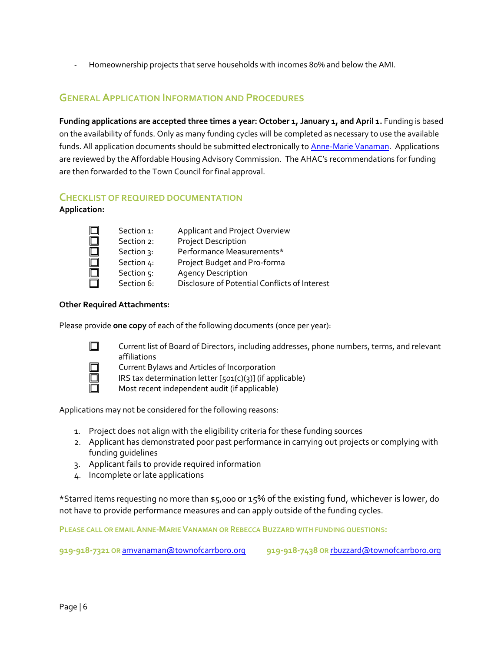- Homeownership projects that serve households with incomes 80% and below the AMI.

# **GENERAL APPLICATION INFORMATION AND PROCEDURES**

**Funding applications are accepted three times a year: October 1, January 1, and April 1.** Funding is based on the availability of funds. Only as many funding cycles will be completed as necessary to use the available funds. All application documents should be submitted electronically to **Anne-Marie Vanaman**. Applications are reviewed by the Affordable Housing Advisory Commission. The AHAC's recommendations for funding are then forwarded to the Town Council for final approval.

## **CHECKLIST OF REQUIRED DOCUMENTATION**

**Application:**

| Applicant and Project Overview<br>Section 1:                |  |
|-------------------------------------------------------------|--|
| <b>Project Description</b><br>Section 2:                    |  |
| Performance Measurements*<br>Section 3:                     |  |
| Project Budget and Pro-forma<br>Section 4:                  |  |
| Section 5:<br><b>Agency Description</b>                     |  |
| Disclosure of Potential Conflicts of Interest<br>Section 6: |  |

#### **Other Required Attachments:**

Please provide **one copy** of each of the following documents (once per year):



Current list of Board of Directors, including addresses, phone numbers, terms, and relevant affiliations

Current Bylaws and Articles of Incorporation

IRS tax determination letter [501(c)(3)] (if applicable)

Most recent independent audit (if applicable)

Applications may not be considered for the following reasons:

- 1. Project does not align with the eligibility criteria for these funding sources
- 2. Applicant has demonstrated poor past performance in carrying out projects or complying with funding guidelines
- 3. Applicant fails to provide required information
- 4. Incomplete or late applications

\*Starred items requesting no more than \$5,000 or 15% of the existing fund, whichever is lower, do not have to provide performance measures and can apply outside of the funding cycles.

**PLEASE CALL OR EMAIL ANNE-MARIE VANAMAN OR REBECCA BUZZARD WITH FUNDING QUESTIONS:**

**919-918-7321 OR** [amvanaman@townofcarrboro.org](mailto:amvanaman@townofcarrboro.org) **919-918-7438 OR** [rbuzzard@townofcarrboro.org](mailto:rbuzzard@townofcarrboro.org)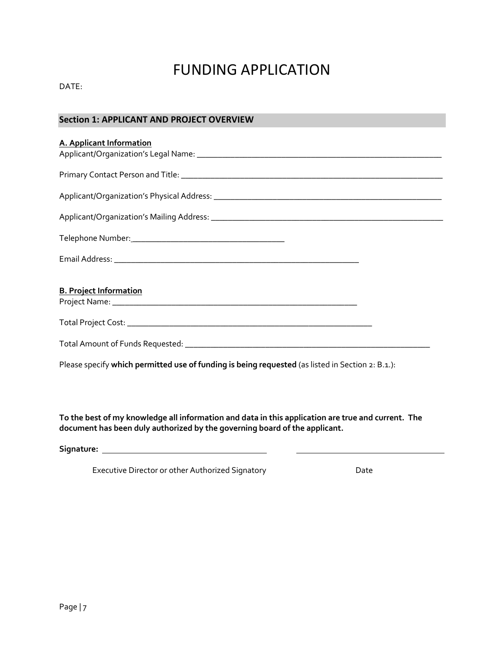# FUNDING APPLICATION

DATE:

# **Section 1: APPLICANT AND PROJECT OVERVIEW**

| A. Applicant Information                                                                         |
|--------------------------------------------------------------------------------------------------|
|                                                                                                  |
|                                                                                                  |
|                                                                                                  |
|                                                                                                  |
|                                                                                                  |
| <b>B. Project Information</b>                                                                    |
|                                                                                                  |
|                                                                                                  |
| Please specify which permitted use of funding is being requested (as listed in Section 2: B.1.): |

**To the best of my knowledge all information and data in this application are true and current. The document has been duly authorized by the governing board of the applicant.**

**Signature:** 

Executive Director or other Authorized Signatory **Executive Date**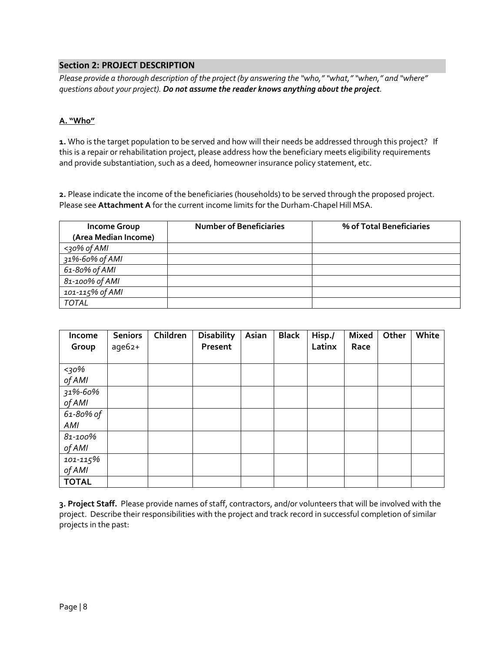## **Section 2: PROJECT DESCRIPTION**

*Please provide a thorough description of the project (by answering the "who," "what," "when," and "where" questions about your project). Do not assume the reader knows anything about the project.* 

#### **A. "Who"**

**1.** Who is the target population to be served and how will their needs be addressed through this project? If this is a repair or rehabilitation project, please address how the beneficiary meets eligibility requirements and provide substantiation, such as a deed, homeowner insurance policy statement, etc.

**2.** Please indicate the income of the beneficiaries (households) to be served through the proposed project. Please see **Attachment A** for the current income limits for the Durham-Chapel Hill MSA.

| <b>Income Group</b>  | <b>Number of Beneficiaries</b> | % of Total Beneficiaries |
|----------------------|--------------------------------|--------------------------|
| (Area Median Income) |                                |                          |
| $<$ 30% of AMI       |                                |                          |
| 31%-60% of AMI       |                                |                          |
| 61-80% of AMI        |                                |                          |
| 81-100% of AMI       |                                |                          |
| 101-115% of AMI      |                                |                          |
| <b>TOTAL</b>         |                                |                          |

| Income       | <b>Seniors</b> | Children | <b>Disability</b> | Asian | <b>Black</b> | Hisp./ | <b>Mixed</b> | Other | White |
|--------------|----------------|----------|-------------------|-------|--------------|--------|--------------|-------|-------|
| Group        | age62+         |          | Present           |       |              | Latinx | Race         |       |       |
|              |                |          |                   |       |              |        |              |       |       |
| <30%         |                |          |                   |       |              |        |              |       |       |
| of AMI       |                |          |                   |       |              |        |              |       |       |
| 31%-60%      |                |          |                   |       |              |        |              |       |       |
| of AMI       |                |          |                   |       |              |        |              |       |       |
| 61-80% of    |                |          |                   |       |              |        |              |       |       |
| AMI          |                |          |                   |       |              |        |              |       |       |
| 81-100%      |                |          |                   |       |              |        |              |       |       |
| of AMI       |                |          |                   |       |              |        |              |       |       |
| 101-115%     |                |          |                   |       |              |        |              |       |       |
| of AMI       |                |          |                   |       |              |        |              |       |       |
| <b>TOTAL</b> |                |          |                   |       |              |        |              |       |       |

**3. Project Staff.** Please provide names of staff, contractors, and/or volunteers that will be involved with the project. Describe their responsibilities with the project and track record in successful completion of similar projects in the past: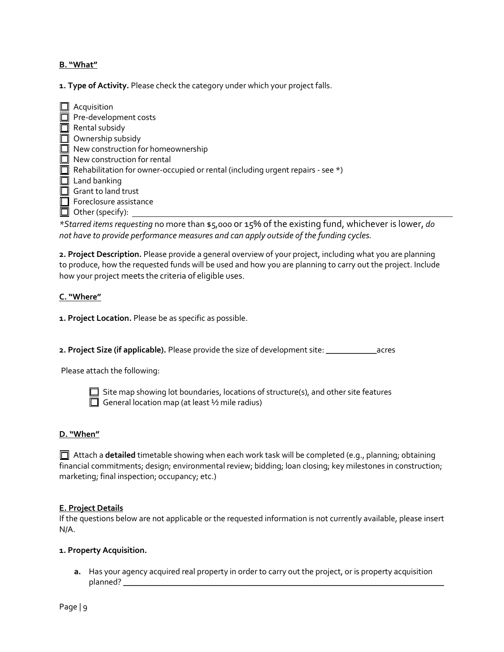#### **B. "What"**

**1. Type of Activity.** Please check the category under which your project falls.

 $\Box$  Acquisition  $\Box$  Pre-development costs  $\Box$  Rental subsidy  $\Box$  Ownership subsidy  $\Box$  New construction for homeownership  $\Box$  New construction for rental Rehabilitation for owner-occupied or rental (including urgent repairs - see \*)  $\Box$  Land banking  $\Box$  Grant to land trust  $\Box$  Foreclosure assistance  $\Box$  Other (specify):

*\*Starred items requesting* no more than \$5,000 or 15% of the existing fund, whichever is lower, *do not have to provide performance measures and can apply outside of the funding cycles.* 

**2. Project Description.** Please provide a general overview of your project, including what you are planning to produce, how the requested funds will be used and how you are planning to carry out the project. Include how your project meets the criteria of eligible uses.

#### **C. "Where"**

**1. Project Location.** Please be as specific as possible.

**2. Project Size (if applicable).** Please provide the size of development site: \_\_\_\_\_\_\_\_\_\_\_\_acres

Please attach the following:



 $\Box$  Site map showing lot boundaries, locations of structure(s), and other site features General location map (at least  $\frac{1}{2}$  mile radius)

#### **D. "When"**

 Attach a **detailed** timetable showing when each work task will be completed (e.g., planning; obtaining financial commitments; design; environmental review; bidding; loan closing; key milestones in construction; marketing; final inspection; occupancy; etc.)

#### **E. Project Details**

If the questions below are not applicable or the requested information is not currently available, please insert N/A.

#### **1. Property Acquisition.**

**a.** Has your agency acquired real property in order to carry out the project, or is property acquisition planned? \_\_\_\_\_\_\_\_\_\_\_\_\_\_\_\_\_\_\_\_\_\_\_\_\_\_\_\_\_\_\_\_\_\_\_\_\_\_\_\_\_\_\_\_\_\_\_\_\_\_\_\_\_\_\_\_\_\_\_\_\_\_\_\_\_\_\_\_\_\_\_\_\_\_\_\_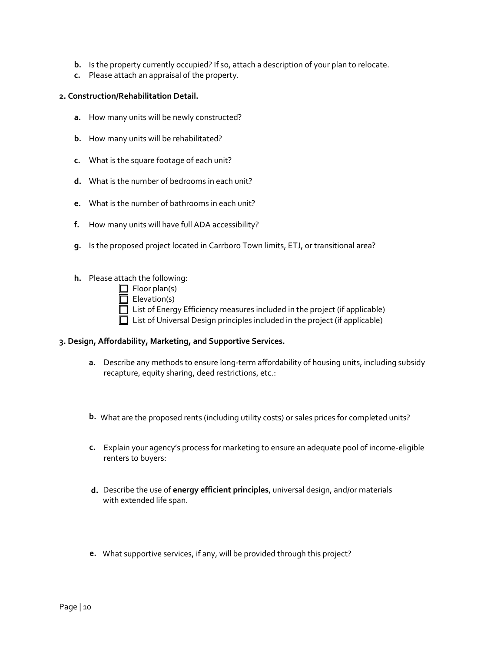- **b.** Is the property currently occupied? If so, attach a description of your plan to relocate.
- **c.** Please attach an appraisal of the property.

#### **2. Construction/Rehabilitation Detail.**

- **a.** How many units will be newly constructed?
- **b.** How many units will be rehabilitated?
- **c.** What is the square footage of each unit?
- **d.** What is the number of bedrooms in each unit?
- **e.** What is the number of bathrooms in each unit?
- **f.** How many units will have full ADA accessibility?
- **g.** Is the proposed project located in Carrboro Town limits, ETJ, or transitional area?
- **h.** Please attach the following:
	- $\Box$  Floor plan(s)
	- $\Box$  Elevation(s)
	- □ List of Energy Efficiency measures included in the project (if applicable)  $\Box$  List of Universal Design principles included in the project (if applicable)
	-

## **3. Design, Affordability, Marketing, and Supportive Services.**

- **a.** Describe any methods to ensure long-term affordability of housing units, including subsidy recapture, equity sharing, deed restrictions, etc.:
- **b.** What are the proposed rents (including utility costs) or sales prices for completed units?
- **c.** Explain your agency's process for marketing to ensure an adequate pool of income-eligible renters to buyers:
- **d.** Describe the use of **energy efficient principles**, universal design, and/or materials with extended life span.
- **e.** What supportive services, if any, will be provided through this project?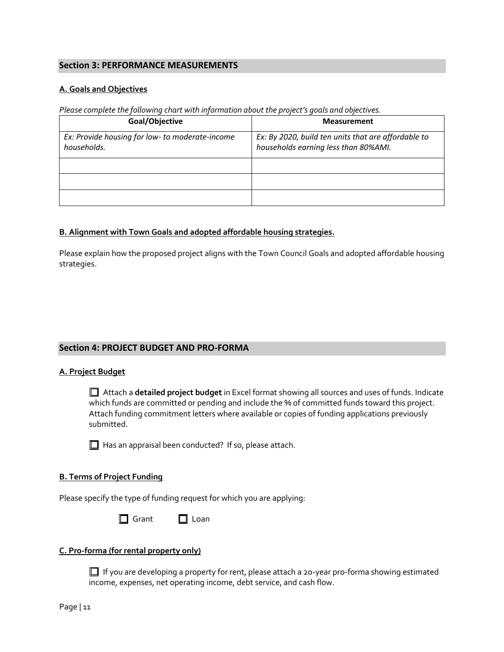# **Section 3: PERFORMANCE MEASUREMENTS**

#### **A. Goals and Objectives**

*Please complete the following chart with information about the project's goals and objectives.* 

| Goal/Objective                                                 | <b>Measurement</b>                                                                          |
|----------------------------------------------------------------|---------------------------------------------------------------------------------------------|
| Ex: Provide housing for low- to moderate-income<br>households. | Ex: By 2020, build ten units that are affordable to<br>households earning less than 80%AMI. |
|                                                                |                                                                                             |
|                                                                |                                                                                             |
|                                                                |                                                                                             |

#### **B. Alignment with Town Goals and adopted affordable housing strategies.**

Please explain how the proposed project aligns with the Town Council Goals and adopted affordable housing strategies.

#### **Section 4: PROJECT BUDGET AND PRO-FORMA**

#### **A. Project Budget**

 Attach a **detailed project budget** in Excel format showing all sources and uses of funds. Indicate which funds are committed or pending and include the % of committed funds toward this project. Attach funding commitment letters where available or copies of funding applications previously submitted.

 $\Box$  Has an appraisal been conducted? If so, please attach.

#### **B. Terms of Project Funding**

Please specify the type of funding request for which you are applying:

□ Grant □ Loan

#### **C. Pro-forma (for rental property only)**

 $\Box$  If you are developing a property for rent, please attach a 20-year pro-forma showing estimated income, expenses, net operating income, debt service, and cash flow.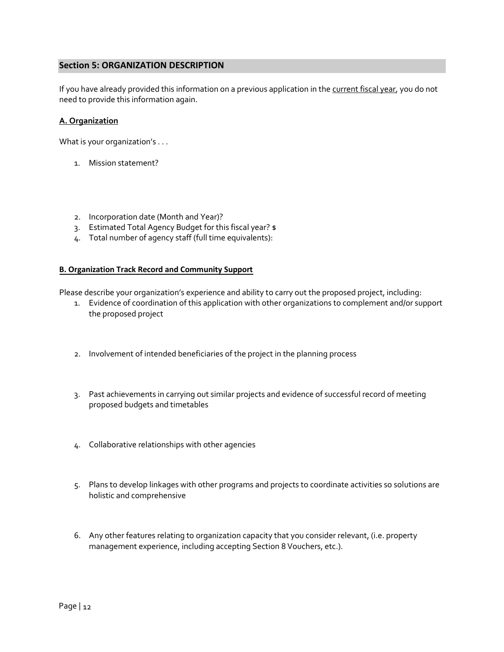### **Section 5: ORGANIZATION DESCRIPTION**

If you have already provided this information on a previous application in the current fiscal year, you do not need to provide this information again.

#### **A. Organization**

What is your organization's . . .

- 1. Mission statement?
- 2. Incorporation date (Month and Year)?
- 3. Estimated Total Agency Budget for this fiscal year? \$
- 4. Total number of agency staff (full time equivalents):

#### **B. Organization Track Record and Community Support**

Please describe your organization's experience and ability to carry out the proposed project, including:

- 1. Evidence of coordination of this application with other organizations to complement and/or support the proposed project
- 2. Involvement of intended beneficiaries of the project in the planning process
- 3. Past achievements in carrying out similar projects and evidence of successful record of meeting proposed budgets and timetables
- 4. Collaborative relationships with other agencies
- 5. Plans to develop linkages with other programs and projects to coordinate activities so solutions are holistic and comprehensive  $\overline{1}$
- 6. Any other features relating to organization capacity that you consider relevant, (i.e. property management experience, including accepting Section 8 Vouchers, etc.).